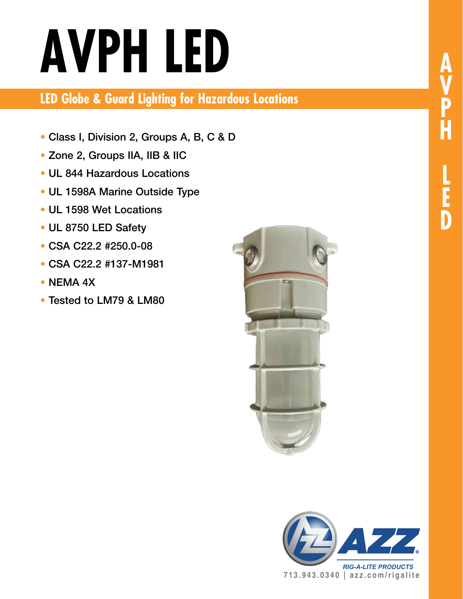# **AVPH LED**

**LED Globe & Guard Lighting for Hazardous Locations**

- Class I, Division 2, Groups A, B, C & D
- Zone 2, Groups IIA, IIB & IIC
- UL 844 Hazardous Locations
- UL 1598A Marine Outside Type
- UL 1598 Wet Locations
- UL 8750 LED Safety
- CSA C22.2 #250.0-08
- CSA C22.2 #137-M1981
- NEMA 4X
- Tested to LM79 & LM80







*RIG-A-LITE PRODUCTS* **713.943.0340 | azz.com/rigalite**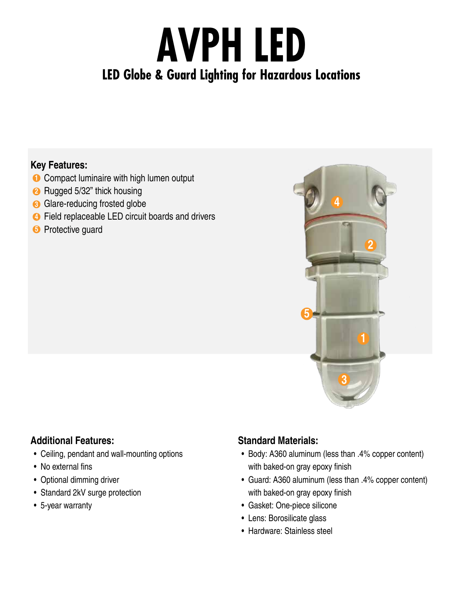# **AVPH LED LED Globe & Guard Lighting for Hazardous Locations**

#### **Key Features:**

- **1** Compact luminaire with high lumen output
- **2** Rugged 5/32" thick housing
- **3** Glare-reducing frosted globe
- **4** Field replaceable LED circuit boards and drivers
- **5** Protective guard



#### **Additional Features:**

- Ceiling, pendant and wall-mounting options
- No external fins
- Optional dimming driver
- Standard 2kV surge protection
- 5-year warranty

#### **Standard Materials:**

- Body: A360 aluminum (less than .4% copper content) with baked-on gray epoxy finish
- Guard: A360 aluminum (less than .4% copper content) with baked-on gray epoxy finish
- Gasket: One-piece silicone
- Lens: Borosilicate glass
- Hardware: Stainless steel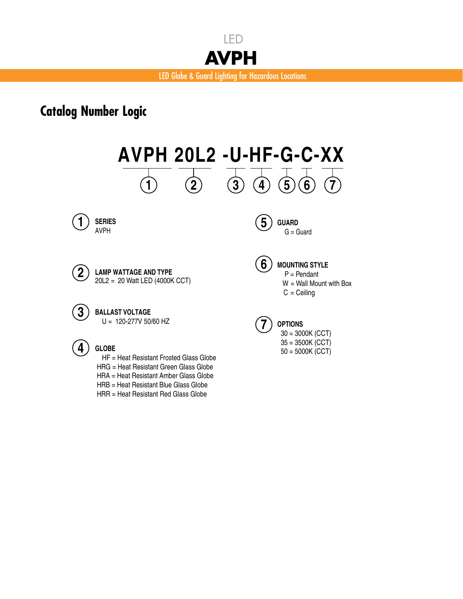

### **Catalog Number Logic**

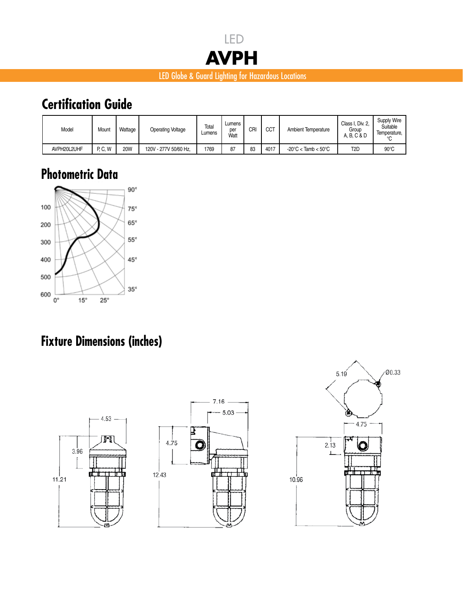

#### LED Globe & Guard Lighting for Hazardous Locations

# **Certification Guide**

| Model       | Mount   | Wattage    | <b>Operating Voltage</b> | Total<br>Lumens | Lumens<br>per<br>Watt | CRI | <b>CCT</b> | Ambient Temperature                      | Class I, Div. 2,<br>Group<br>A. B. C & D | Supply Wire<br>Suitable<br>Temperature. |
|-------------|---------|------------|--------------------------|-----------------|-----------------------|-----|------------|------------------------------------------|------------------------------------------|-----------------------------------------|
| AVPH20L2UHF | P. C. W | <b>20W</b> | 120V - 277V 50/60 Hz.    | 1769            | 87                    | 83  | 4017       | $-20^{\circ}$ C < Tamb < 50 $^{\circ}$ C | T <sub>2</sub> D                         | $90^{\circ}$ C                          |

# **Photometric Data**



# **Fixture Dimensions (inches)**